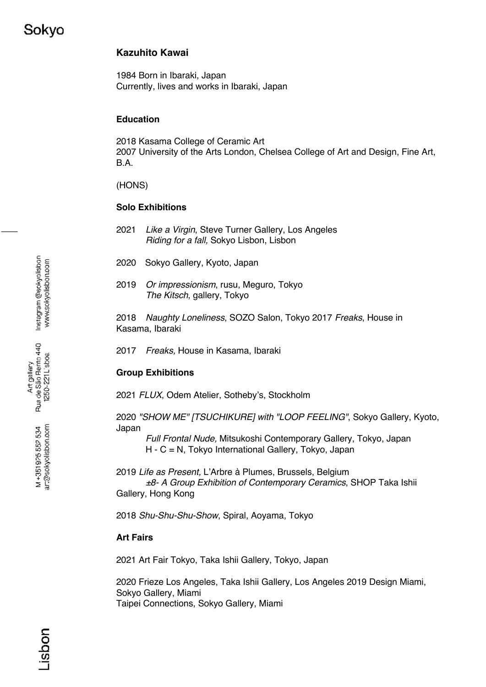## **Kazuhito Kawai**

1984 Born in Ibaraki, Japan Currently, lives and works in Ibaraki, Japan

## **Education**

2018 Kasama College of Ceramic Art 2007 University of the Arts London, Chelsea College of Art and Design, Fine Art, B.A.

(HONS)

#### **Solo Exhibitions**

- 2021 *Like a Virgin*, Steve Turner Gallery, Los Angeles *Riding for a fall,* Sokyo Lisbon, Lisbon
- 2020 Sokyo Gallery, Kyoto, Japan
- 2019 *Or impressionism*, rusu, Meguro, Tokyo *The Kitsch*, gallery, Tokyo

2018 *Naughty Loneliness*, SOZO Salon, Tokyo 2017 *Freaks*, House in Kasama, Ibaraki

2017 *Freaks,* House in Kasama, Ibaraki

## **Group Exhibitions**

2021 *FLUX*, Odem Atelier, Sotheby's, Stockholm

2020 *"SHOW ME" [TSUCHIKURE] with "LOOP FEELING"*, Sokyo Gallery, Kyoto, Japan

*Full Frontal Nude,* Mitsukoshi Contemporary Gallery, Tokyo, Japan H - C = N, Tokyo International Gallery, Tokyo, Japan

2019 *Life as Present*, L'Arbre à Plumes, Brussels, Belgium *±8- A Group Exhibition of Contemporary Ceramics*, SHOP Taka Ishii Gallery, Hong Kong

2018 *Shu-Shu-Shu-Show*, Spiral, Aoyama, Tokyo

#### **Art Fairs**

2021 Art Fair Tokyo, Taka Ishii Gallery, Tokyo, Japan

2020 Frieze Los Angeles, Taka Ishii Gallery, Los Angeles 2019 Design Miami, Sokyo Gallery, Miami Taipei Connections, Sokyo Gallery, Miami

Instagram @sokyolishon www.sokyolisbon.com

ar:@sokyolisbon.com M+351925552534